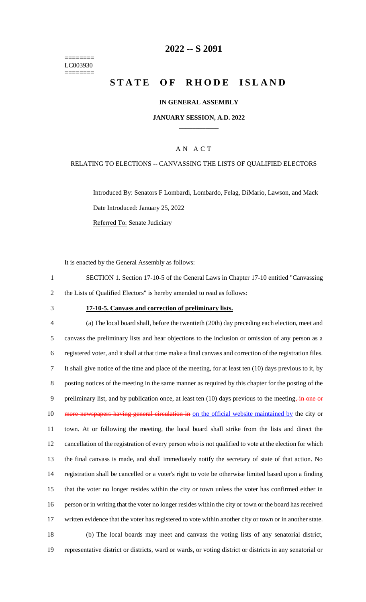======== LC003930 ========

## **2022 -- S 2091**

# **STATE OF RHODE ISLAND**

#### **IN GENERAL ASSEMBLY**

#### **JANUARY SESSION, A.D. 2022 \_\_\_\_\_\_\_\_\_\_\_\_**

### A N A C T

#### RELATING TO ELECTIONS -- CANVASSING THE LISTS OF QUALIFIED ELECTORS

Introduced By: Senators F Lombardi, Lombardo, Felag, DiMario, Lawson, and Mack Date Introduced: January 25, 2022 Referred To: Senate Judiciary

It is enacted by the General Assembly as follows:

1 SECTION 1. Section 17-10-5 of the General Laws in Chapter 17-10 entitled "Canvassing 2 the Lists of Qualified Electors" is hereby amended to read as follows:

#### 3 **17-10-5. Canvass and correction of preliminary lists.**

 (a) The local board shall, before the twentieth (20th) day preceding each election, meet and canvass the preliminary lists and hear objections to the inclusion or omission of any person as a registered voter, and it shall at that time make a final canvass and correction of the registration files. It shall give notice of the time and place of the meeting, for at least ten (10) days previous to it, by posting notices of the meeting in the same manner as required by this chapter for the posting of the 9 preliminary list, and by publication once, at least ten (10) days previous to the meeting, in one or 10 more newspapers having general circulation in on the official website maintained by the city or town. At or following the meeting, the local board shall strike from the lists and direct the cancellation of the registration of every person who is not qualified to vote at the election for which the final canvass is made, and shall immediately notify the secretary of state of that action. No registration shall be cancelled or a voter's right to vote be otherwise limited based upon a finding that the voter no longer resides within the city or town unless the voter has confirmed either in 16 person or in writing that the voter no longer resides within the city or town or the board has received 17 written evidence that the voter has registered to vote within another city or town or in another state. (b) The local boards may meet and canvass the voting lists of any senatorial district, representative district or districts, ward or wards, or voting district or districts in any senatorial or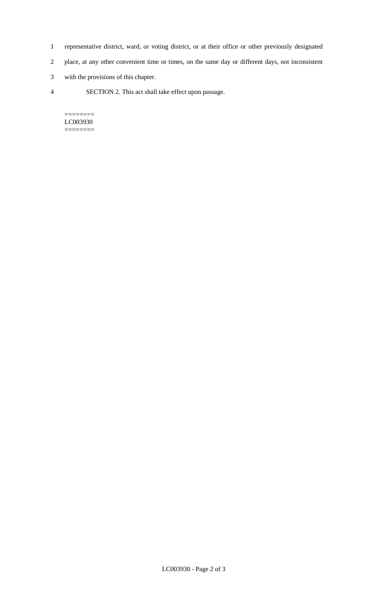- 1 representative district, ward, or voting district, or at their office or other previously designated
- 2 place, at any other convenient time or times, on the same day or different days, not inconsistent
- 3 with the provisions of this chapter.
- 4 SECTION 2. This act shall take effect upon passage.

======== LC003930  $=$